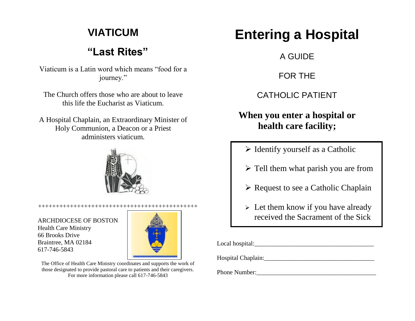## **VIATICUM**

# **"Last Rites"**

Viaticum is a Latin word which means "food for a journey."

The Church offers those who are about to leave this life the Eucharist as Viaticum.

A Hospital Chaplain, an Extraordinary Minister of Holy Communion, a Deacon or a Priest administers viaticum.



#### +++++++++++++++++++++++++++++++++++++++++++++

ARCHDIOCESE OF BOSTON Health Care Ministry 66 Brooks Drive Braintree, MA 02184 617-746-5843



The Office of Health Care Ministry coordinates and supports the work of those designated to provide pastoral care to patients and their caregivers. For more information please call 617-746-5843

# **Entering a Hospital**

A GUIDE

FOR THE

CATHOLIC PATIENT

**When you enter a hospital or health care facility;**

- $\triangleright$  Identify yourself as a Catholic
- $\triangleright$  Tell them what parish you are from
- $\triangleright$  Request to see a Catholic Chaplain
- $\triangleright$  Let them know if you have already received the Sacrament of the Sick

Local hospital:

Hospital Chaplain:

Phone Number:\_\_\_\_\_\_\_\_\_\_\_\_\_\_\_\_\_\_\_\_\_\_\_\_\_\_\_\_\_\_\_\_\_\_\_\_\_\_